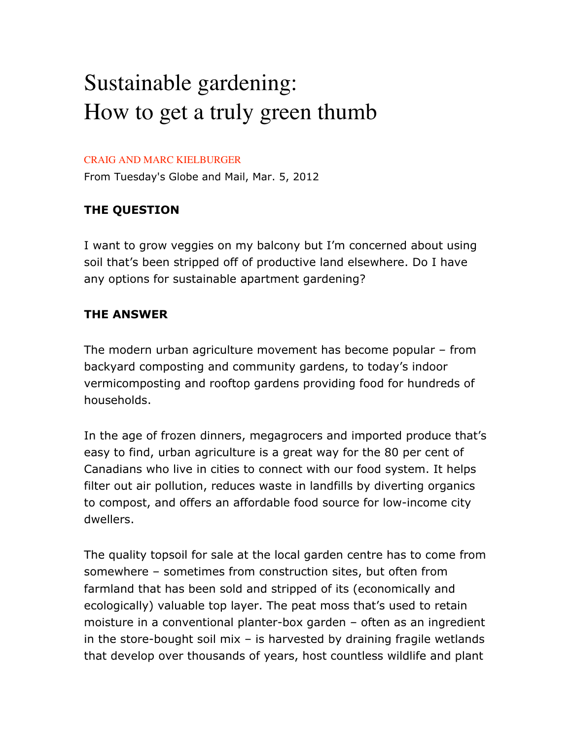## Sustainable gardening: How to get a truly green thumb

## CRAIG AND MARC KIELBURGER

From Tuesday's Globe and Mail, Mar. 5, 2012

## **THE QUESTION**

I want to grow veggies on my balcony but I'm concerned about using soil that's been stripped off of productive land elsewhere. Do I have any options for sustainable apartment gardening?

## **THE ANSWER**

The modern urban agriculture movement has become popular – from backyard composting and community gardens, to today's indoor vermicomposting and rooftop gardens providing food for hundreds of households.

In the age of frozen dinners, megagrocers and imported produce that's easy to find, urban agriculture is a great way for the 80 per cent of Canadians who live in cities to connect with our food system. It helps filter out air pollution, reduces waste in landfills by diverting organics to compost, and offers an affordable food source for low-income city dwellers.

The quality topsoil for sale at the local garden centre has to come from somewhere – sometimes from construction sites, but often from farmland that has been sold and stripped of its (economically and ecologically) valuable top layer. The peat moss that's used to retain moisture in a conventional planter-box garden – often as an ingredient in the store-bought soil mix  $-$  is harvested by draining fragile wetlands that develop over thousands of years, host countless wildlife and plant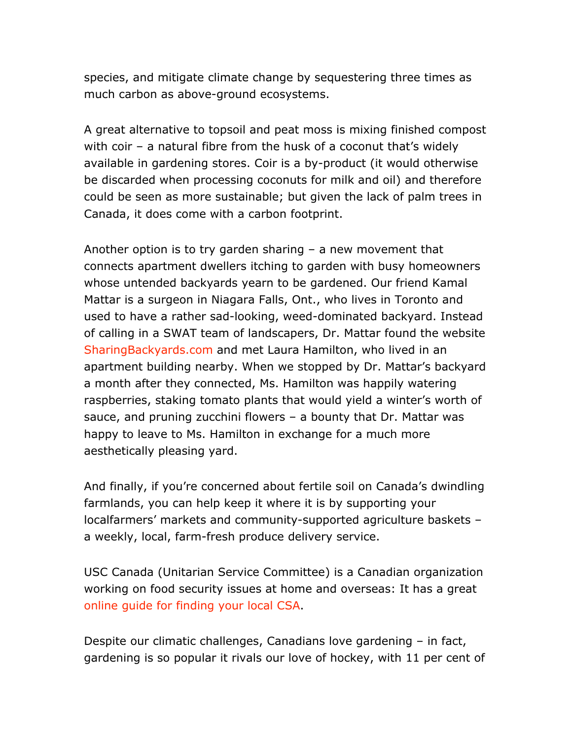species, and mitigate climate change by sequestering three times as much carbon as above-ground ecosystems.

A great alternative to topsoil and peat moss is mixing finished compost with coir – a natural fibre from the husk of a coconut that's widely available in gardening stores. Coir is a by-product (it would otherwise be discarded when processing coconuts for milk and oil) and therefore could be seen as more sustainable; but given the lack of palm trees in Canada, it does come with a carbon footprint.

Another option is to try garden sharing – a new movement that connects apartment dwellers itching to garden with busy homeowners whose untended backyards yearn to be gardened. Our friend Kamal Mattar is a surgeon in Niagara Falls, Ont., who lives in Toronto and used to have a rather sad-looking, weed-dominated backyard. Instead of calling in a SWAT team of landscapers, Dr. Mattar found the website SharingBackyards.com and met Laura Hamilton, who lived in an apartment building nearby. When we stopped by Dr. Mattar's backyard a month after they connected, Ms. Hamilton was happily watering raspberries, staking tomato plants that would yield a winter's worth of sauce, and pruning zucchini flowers – a bounty that Dr. Mattar was happy to leave to Ms. Hamilton in exchange for a much more aesthetically pleasing yard.

And finally, if you're concerned about fertile soil on Canada's dwindling farmlands, you can help keep it where it is by supporting your localfarmers' markets and community-supported agriculture baskets – a weekly, local, farm-fresh produce delivery service.

USC Canada (Unitarian Service Committee) is a Canadian organization working on food security issues at home and overseas: It has a great online guide for finding your local CSA.

Despite our climatic challenges, Canadians love gardening – in fact, gardening is so popular it rivals our love of hockey, with 11 per cent of